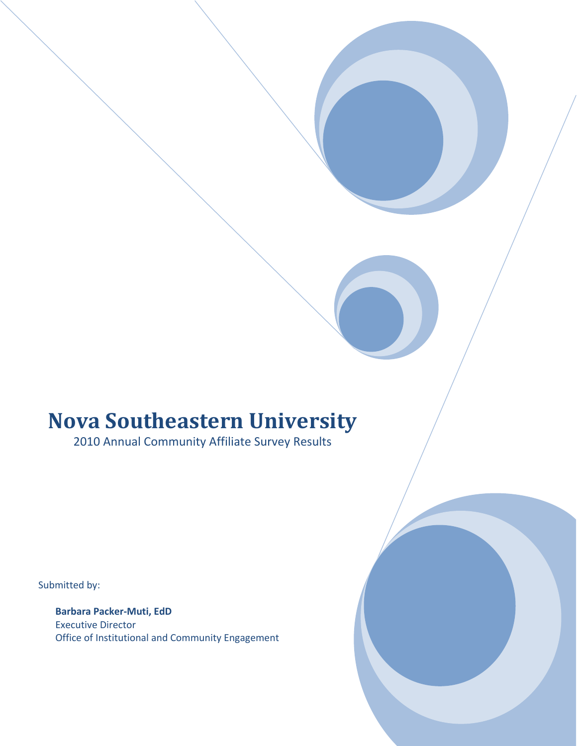# **Nova Southeastern University**

2010 Annual Community Affiliate Survey Results

Submitted by:

**Barbara Packer‐Muti, EdD** Executive Director Office of Institutional and Community Engagement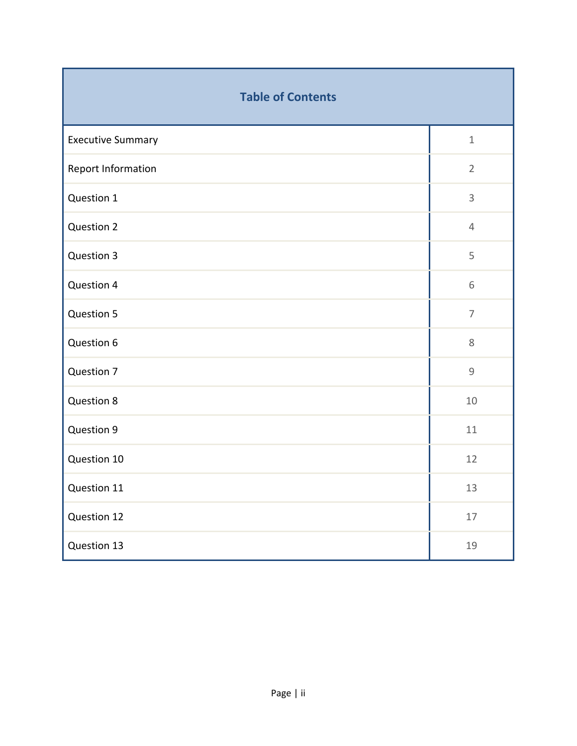| <b>Table of Contents</b> |                |  |
|--------------------------|----------------|--|
| <b>Executive Summary</b> | $\mathbf{1}$   |  |
| Report Information       | $\overline{2}$ |  |
| Question 1               | $\mathsf{3}$   |  |
| <b>Question 2</b>        | $\overline{4}$ |  |
| Question 3               | 5              |  |
| Question 4               | 6              |  |
| Question 5               | $\overline{7}$ |  |
| Question 6               | 8              |  |
| Question 7               | $\mathsf g$    |  |
| <b>Question 8</b>        | 10             |  |
| Question 9               | 11             |  |
| Question 10              | 12             |  |
| Question 11              | 13             |  |
| Question 12              | $17\,$         |  |
| Question 13              | 19             |  |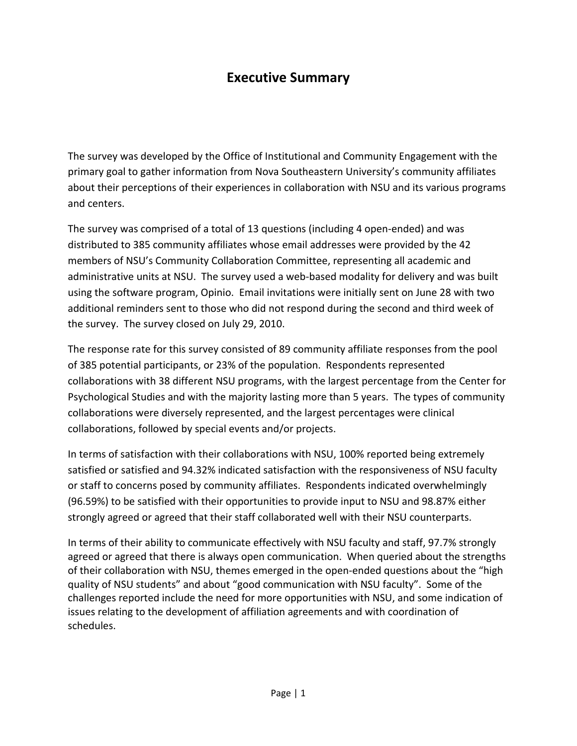## **Executive Summary**

The survey was developed by the Office of Institutional and Community Engagement with the primary goal to gather information from Nova Southeastern University's community affiliates about their perceptions of their experiences in collaboration with NSU and its various programs and centers.

The survey was comprised of a total of 13 questions (including 4 open-ended) and was distributed to 385 community affiliates whose email addresses were provided by the 42 members of NSU's Community Collaboration Committee, representing all academic and administrative units at NSU. The survey used a web-based modality for delivery and was built using the software program, Opinio. Email invitations were initially sent on June 28 with two additional reminders sent to those who did not respond during the second and third week of the survey. The survey closed on July 29, 2010.

The response rate for this survey consisted of 89 community affiliate responses from the pool of 385 potential participants, or 23% of the population. Respondents represented collaborations with 38 different NSU programs, with the largest percentage from the Center for Psychological Studies and with the majority lasting more than 5 years. The types of community collaborations were diversely represented, and the largest percentages were clinical collaborations, followed by special events and/or projects.

In terms of satisfaction with their collaborations with NSU, 100% reported being extremely satisfied or satisfied and 94.32% indicated satisfaction with the responsiveness of NSU faculty or staff to concerns posed by community affiliates. Respondents indicated overwhelmingly (96.59%) to be satisfied with their opportunities to provide input to NSU and 98.87% either strongly agreed or agreed that their staff collaborated well with their NSU counterparts.

In terms of their ability to communicate effectively with NSU faculty and staff, 97.7% strongly agreed or agreed that there is always open communication. When queried about the strengths of their collaboration with NSU, themes emerged in the open-ended questions about the "high quality of NSU students" and about "good communication with NSU faculty". Some of the challenges reported include the need for more opportunities with NSU, and some indication of issues relating to the development of affiliation agreements and with coordination of schedules.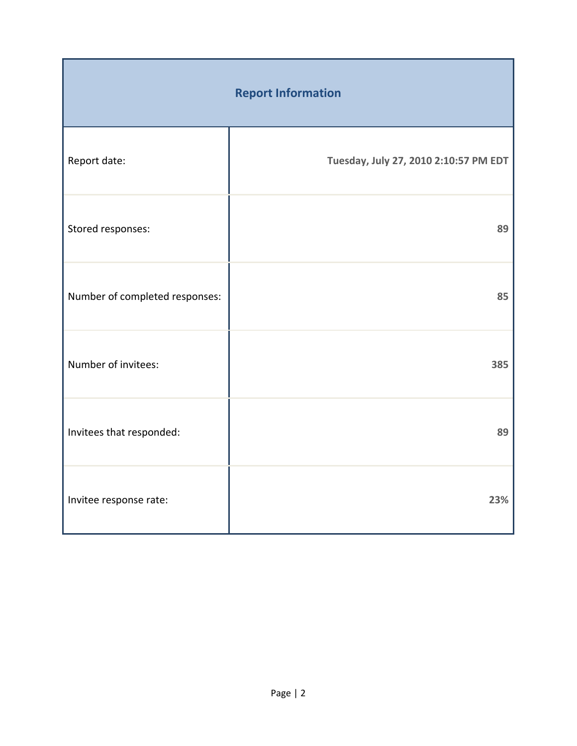| <b>Report Information</b>      |                                       |  |
|--------------------------------|---------------------------------------|--|
| Report date:                   | Tuesday, July 27, 2010 2:10:57 PM EDT |  |
| Stored responses:              | 89                                    |  |
| Number of completed responses: | 85                                    |  |
| Number of invitees:            | 385                                   |  |
| Invitees that responded:       | 89                                    |  |
| Invitee response rate:         | 23%                                   |  |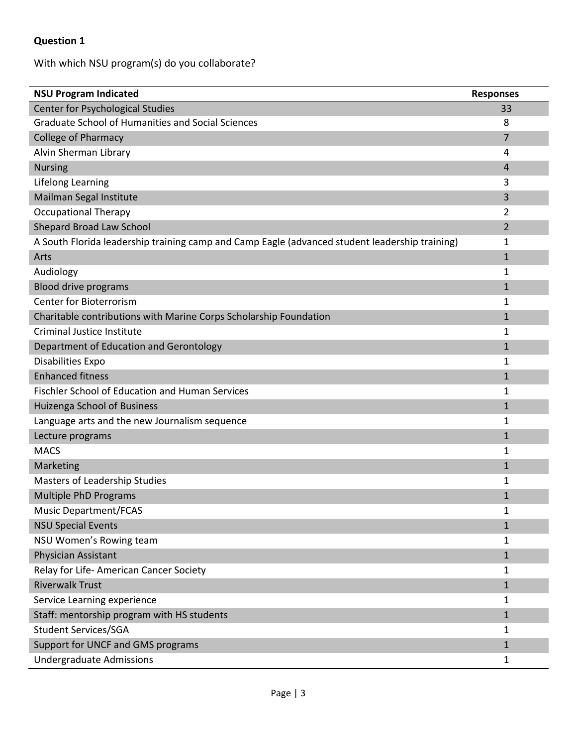### With which NSU program(s) do you collaborate?

| <b>NSU Program Indicated</b>                                                                   | <b>Responses</b> |
|------------------------------------------------------------------------------------------------|------------------|
| Center for Psychological Studies                                                               | 33               |
| <b>Graduate School of Humanities and Social Sciences</b>                                       | 8                |
| <b>College of Pharmacy</b>                                                                     | 7                |
| Alvin Sherman Library                                                                          | 4                |
| <b>Nursing</b>                                                                                 | 4                |
| Lifelong Learning                                                                              | 3                |
| Mailman Segal Institute                                                                        | 3                |
| <b>Occupational Therapy</b>                                                                    | 2                |
| Shepard Broad Law School                                                                       | 2                |
| A South Florida leadership training camp and Camp Eagle (advanced student leadership training) | 1                |
| Arts                                                                                           | $\mathbf{1}$     |
| Audiology                                                                                      | 1                |
| <b>Blood drive programs</b>                                                                    | $\mathbf{1}$     |
| <b>Center for Bioterrorism</b>                                                                 | 1                |
| Charitable contributions with Marine Corps Scholarship Foundation                              | $\mathbf{1}$     |
| Criminal Justice Institute                                                                     | 1                |
| Department of Education and Gerontology                                                        | $\mathbf{1}$     |
| <b>Disabilities Expo</b>                                                                       | 1                |
| <b>Enhanced fitness</b>                                                                        | $\mathbf{1}$     |
| <b>Fischler School of Education and Human Services</b>                                         | 1                |
| Huizenga School of Business                                                                    | $\mathbf{1}$     |
| Language arts and the new Journalism sequence                                                  | 1                |
| Lecture programs                                                                               | $\mathbf{1}$     |
| <b>MACS</b>                                                                                    | 1                |
| Marketing                                                                                      | $\mathbf{1}$     |
| Masters of Leadership Studies                                                                  | 1                |
| <b>Multiple PhD Programs</b>                                                                   | $\mathbf{1}$     |
| <b>Music Department/FCAS</b>                                                                   | 1                |
| <b>NSU Special Events</b>                                                                      | $\mathbf{1}$     |
| NSU Women's Rowing team                                                                        | 1                |
| Physician Assistant                                                                            | $\mathbf{1}$     |
| Relay for Life-American Cancer Society                                                         | 1                |
| <b>Riverwalk Trust</b>                                                                         | $\mathbf{1}$     |
| Service Learning experience                                                                    | 1                |
| Staff: mentorship program with HS students                                                     | $\mathbf{1}$     |
| <b>Student Services/SGA</b>                                                                    | 1                |
| Support for UNCF and GMS programs                                                              | $\mathbf{1}$     |
| Undergraduate Admissions                                                                       | $\mathbf{1}$     |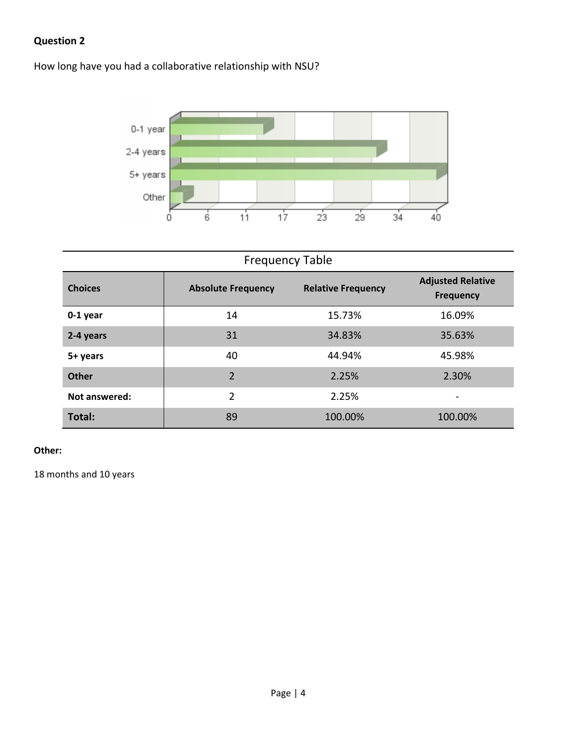How long have you had a collaborative relationship with NSU?



# Frequency Table

| <b>Choices</b> | <b>Absolute Frequency</b> | <b>Relative Frequency</b> | <b>Adjusted Relative</b><br><b>Frequency</b> |
|----------------|---------------------------|---------------------------|----------------------------------------------|
| $0-1$ year     | 14                        | 15.73%                    | 16.09%                                       |
| 2-4 years      | 31                        | 34.83%                    | 35.63%                                       |
| 5+ years       | 40                        | 44.94%                    | 45.98%                                       |
| <b>Other</b>   | $\overline{2}$            | 2.25%                     | 2.30%                                        |
| Not answered:  | 2                         | 2.25%                     |                                              |
| Total:         | 89                        | 100.00%                   | 100.00%                                      |

#### **Other:**

18 months and 10 years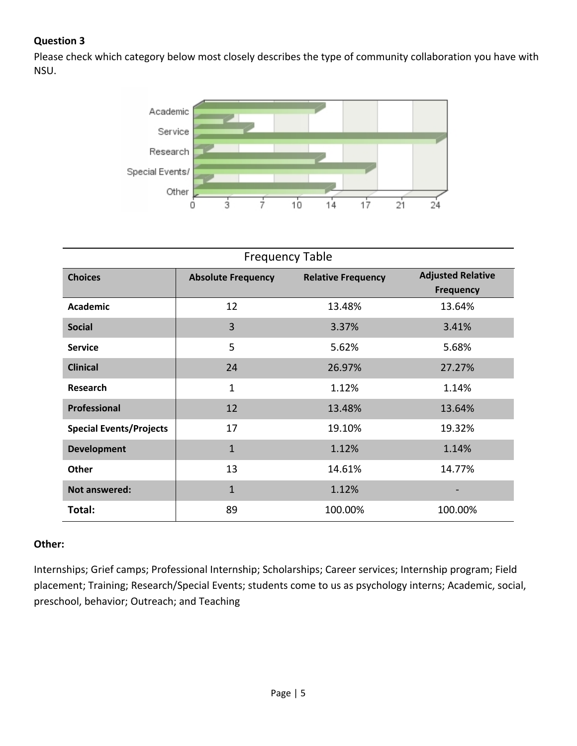Please check which category below most closely describes the type of community collaboration you have with NSU.



| <b>Frequency Table</b>         |                           |                           |                          |  |
|--------------------------------|---------------------------|---------------------------|--------------------------|--|
| <b>Choices</b>                 | <b>Absolute Frequency</b> | <b>Relative Frequency</b> | <b>Adjusted Relative</b> |  |
|                                |                           |                           | <b>Frequency</b>         |  |
| <b>Academic</b>                | 12                        | 13.48%                    | 13.64%                   |  |
| <b>Social</b>                  | 3                         | 3.37%                     | 3.41%                    |  |
| <b>Service</b>                 | 5                         | 5.62%                     | 5.68%                    |  |
| <b>Clinical</b>                | 24                        | 26.97%                    | 27.27%                   |  |
| <b>Research</b>                | $\mathbf{1}$              | 1.12%                     | 1.14%                    |  |
| Professional                   | 12                        | 13.48%                    | 13.64%                   |  |
| <b>Special Events/Projects</b> | 17                        | 19.10%                    | 19.32%                   |  |
| <b>Development</b>             | $\mathbf{1}$              | 1.12%                     | 1.14%                    |  |
| Other                          | 13                        | 14.61%                    | 14.77%                   |  |
| Not answered:                  | $\mathbf{1}$              | 1.12%                     |                          |  |
| Total:                         | 89                        | 100.00%                   | 100.00%                  |  |

#### **Other:**

Internships; Grief camps; Professional Internship; Scholarships; Career services; Internship program; Field placement; Training; Research/Special Events; students come to us as psychology interns; Academic, social, preschool, behavior; Outreach; and Teaching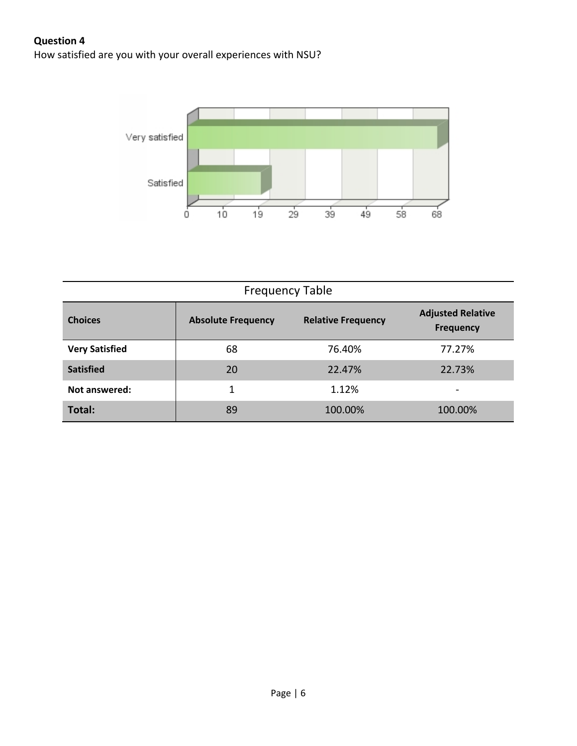How satisfied are you with your overall experiences with NSU?



| <b>Frequency Table</b> |                           |                           |                                              |  |
|------------------------|---------------------------|---------------------------|----------------------------------------------|--|
| <b>Choices</b>         | <b>Absolute Frequency</b> | <b>Relative Frequency</b> | <b>Adjusted Relative</b><br><b>Frequency</b> |  |
| <b>Very Satisfied</b>  | 68                        | 76.40%                    | 77.27%                                       |  |
| <b>Satisfied</b>       | 20                        | 22.47%                    | 22.73%                                       |  |
| Not answered:          | 1                         | 1.12%                     | $\overline{\phantom{0}}$                     |  |
| Total:                 | 89                        | 100.00%                   | 100.00%                                      |  |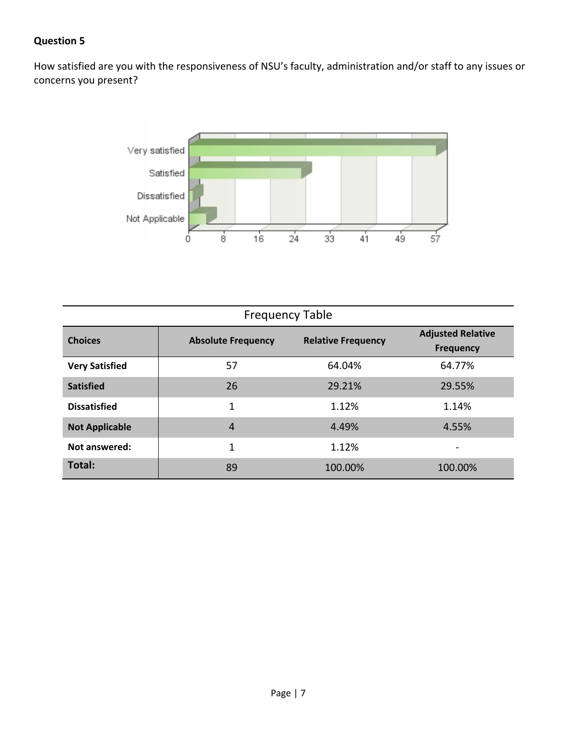How satisfied are you with the responsiveness of NSU's faculty, administration and/or staff to any issues or concerns you present?



| <b>Frequency Table</b> |                           |                           |                                       |  |
|------------------------|---------------------------|---------------------------|---------------------------------------|--|
| <b>Choices</b>         | <b>Absolute Frequency</b> | <b>Relative Frequency</b> | <b>Adjusted Relative</b><br>Frequency |  |
| <b>Very Satisfied</b>  | 57                        | 64.04%                    | 64.77%                                |  |
| <b>Satisfied</b>       | 26                        | 29.21%                    | 29.55%                                |  |
| <b>Dissatisfied</b>    | 1                         | 1.12%                     | 1.14%                                 |  |
| <b>Not Applicable</b>  | $\overline{4}$            | 4.49%                     | 4.55%                                 |  |
| Not answered:          | 1                         | 1.12%                     |                                       |  |
| Total:                 | 89                        | 100.00%                   | 100.00%                               |  |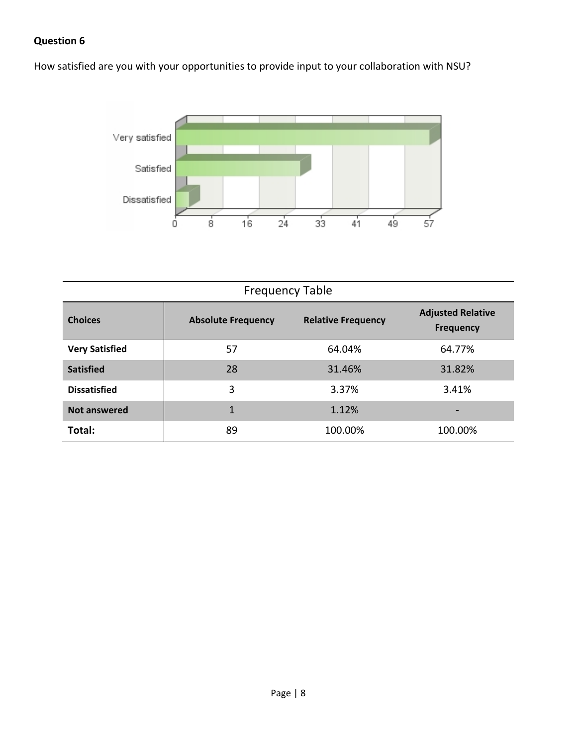How satisfied are you with your opportunities to provide input to your collaboration with NSU?



| <b>Frequency Table</b> |                           |                           |                                              |  |
|------------------------|---------------------------|---------------------------|----------------------------------------------|--|
| <b>Choices</b>         | <b>Absolute Frequency</b> | <b>Relative Frequency</b> | <b>Adjusted Relative</b><br><b>Frequency</b> |  |
| <b>Very Satisfied</b>  | 57                        | 64.04%                    | 64.77%                                       |  |
| <b>Satisfied</b>       | 28                        | 31.46%                    | 31.82%                                       |  |
| <b>Dissatisfied</b>    | 3                         | 3.37%                     | 3.41%                                        |  |
| <b>Not answered</b>    | 1                         | 1.12%                     |                                              |  |
| Total:                 | 89                        | 100.00%                   | 100.00%                                      |  |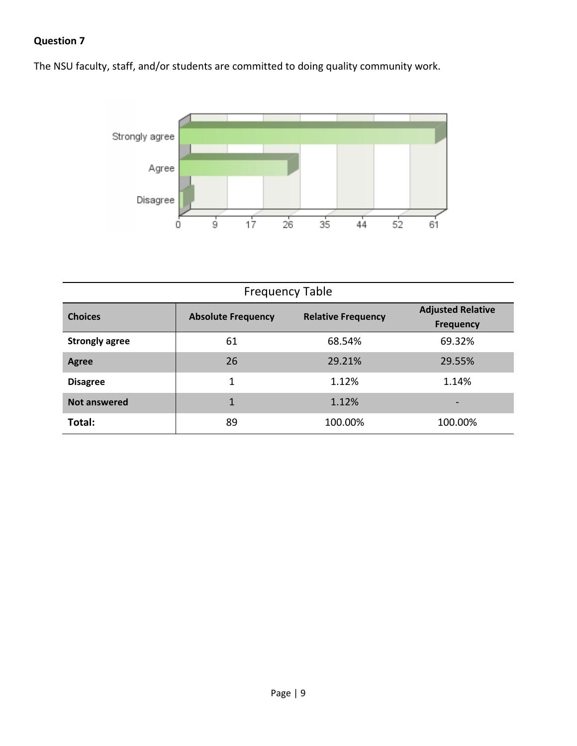The NSU faculty, staff, and/or students are committed to doing quality community work.



| <b>Frequency Table</b> |                           |                           |                                              |  |
|------------------------|---------------------------|---------------------------|----------------------------------------------|--|
| <b>Choices</b>         | <b>Absolute Frequency</b> | <b>Relative Frequency</b> | <b>Adjusted Relative</b><br><b>Frequency</b> |  |
| <b>Strongly agree</b>  | 61                        | 68.54%                    | 69.32%                                       |  |
| Agree                  | 26                        | 29.21%                    | 29.55%                                       |  |
| <b>Disagree</b>        |                           | 1.12%                     | 1.14%                                        |  |
| <b>Not answered</b>    | 1                         | 1.12%                     | $\overline{\phantom{0}}$                     |  |
| Total:                 | 89                        | 100.00%                   | 100.00%                                      |  |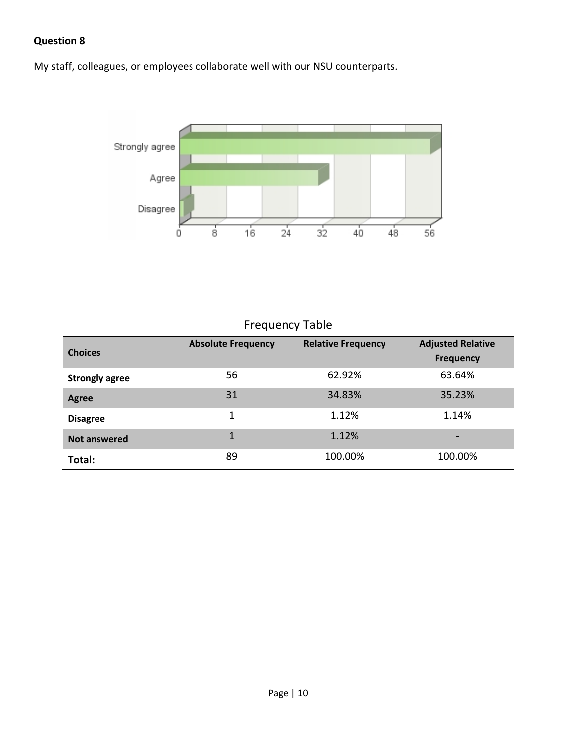My staff, colleagues, or employees collaborate well with our NSU counterparts.



| <b>Frequency Table</b> |                           |                           |                                              |
|------------------------|---------------------------|---------------------------|----------------------------------------------|
| <b>Choices</b>         | <b>Absolute Frequency</b> | <b>Relative Frequency</b> | <b>Adjusted Relative</b><br><b>Frequency</b> |
| <b>Strongly agree</b>  | 56                        | 62.92%                    | 63.64%                                       |
| Agree                  | 31                        | 34.83%                    | 35.23%                                       |
| <b>Disagree</b>        | 1                         | 1.12%                     | 1.14%                                        |
| Not answered           | 1                         | 1.12%                     |                                              |
| Total:                 | 89                        | 100.00%                   | 100.00%                                      |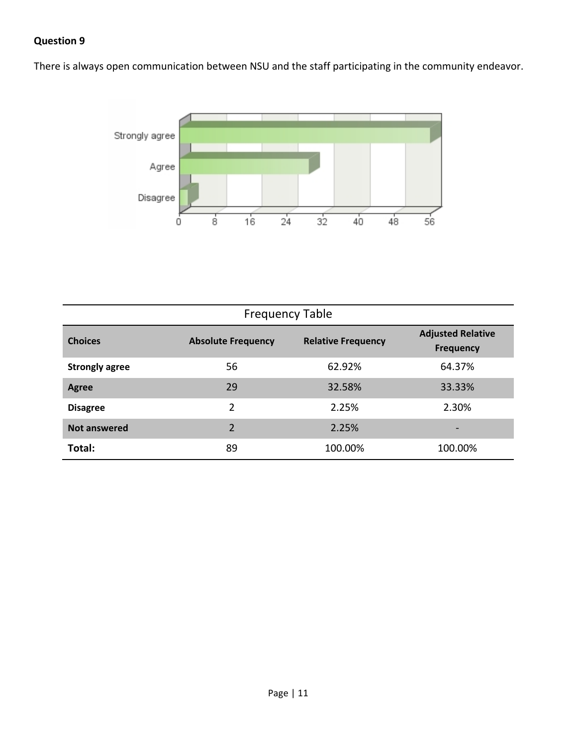There is always open communication between NSU and the staff participating in the community endeavor.



| <b>Frequency Table</b> |                           |                           |                                              |  |
|------------------------|---------------------------|---------------------------|----------------------------------------------|--|
| <b>Choices</b>         | <b>Absolute Frequency</b> | <b>Relative Frequency</b> | <b>Adjusted Relative</b><br><b>Frequency</b> |  |
| <b>Strongly agree</b>  | 56                        | 62.92%                    | 64.37%                                       |  |
| Agree                  | 29                        | 32.58%                    | 33.33%                                       |  |
| <b>Disagree</b>        | 2                         | 2.25%                     | 2.30%                                        |  |
| <b>Not answered</b>    | $\mathfrak{p}$            | 2.25%                     | $\overline{\phantom{0}}$                     |  |
| Total:                 | 89                        | 100.00%                   | 100.00%                                      |  |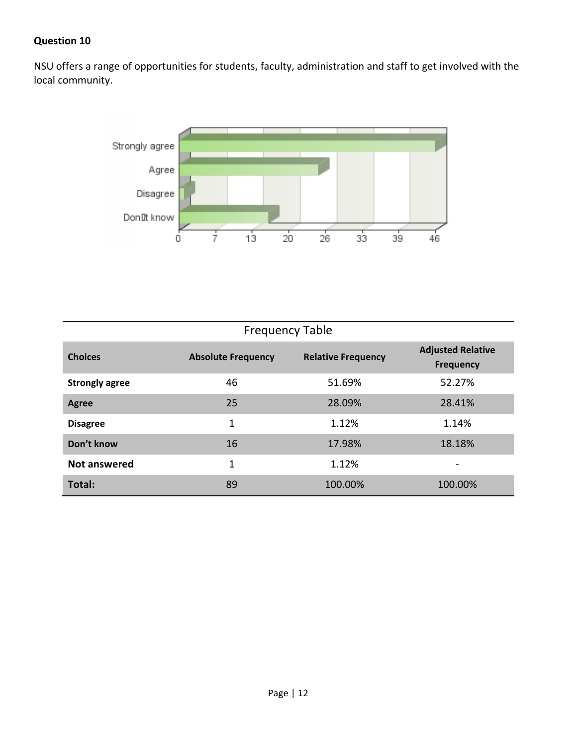NSU offers a range of opportunities for students, faculty, administration and staff to get involved with the local community.



| <b>Frequency Table</b> |                           |                           |                                              |
|------------------------|---------------------------|---------------------------|----------------------------------------------|
| <b>Choices</b>         | <b>Absolute Frequency</b> | <b>Relative Frequency</b> | <b>Adjusted Relative</b><br><b>Frequency</b> |
| <b>Strongly agree</b>  | 46                        | 51.69%                    | 52.27%                                       |
| Agree                  | 25                        | 28.09%                    | 28.41%                                       |
| <b>Disagree</b>        | 1                         | 1.12%                     | 1.14%                                        |
| Don't know             | 16                        | 17.98%                    | 18.18%                                       |
| Not answered           | 1                         | 1.12%                     | $\overline{\phantom{a}}$                     |
| Total:                 | 89                        | 100.00%                   | 100.00%                                      |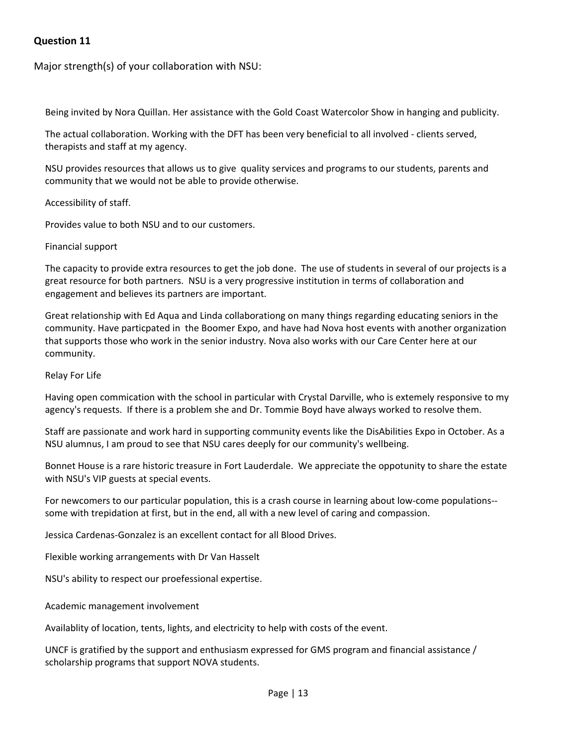Major strength(s) of your collaboration with NSU:

Being invited by Nora Quillan. Her assistance with the Gold Coast Watercolor Show in hanging and publicity.

The actual collaboration. Working with the DFT has been very beneficial to all involved ‐ clients served, therapists and staff at my agency.

NSU provides resources that allows us to give quality services and programs to our students, parents and community that we would not be able to provide otherwise.

Accessibility of staff.

Provides value to both NSU and to our customers.

#### Financial support

The capacity to provide extra resources to get the job done. The use of students in several of our projects is a great resource for both partners. NSU is a very progressive institution in terms of collaboration and engagement and believes its partners are important.

Great relationship with Ed Aqua and Linda collaborationg on many things regarding educating seniors in the community. Have particpated in the Boomer Expo, and have had Nova host events with another organization that supports those who work in the senior industry. Nova also works with our Care Center here at our community.

Relay For Life

Having open commication with the school in particular with Crystal Darville, who is extemely responsive to my agency's requests. If there is a problem she and Dr. Tommie Boyd have always worked to resolve them.

Staff are passionate and work hard in supporting community events like the DisAbilities Expo in October. As a NSU alumnus, I am proud to see that NSU cares deeply for our community's wellbeing.

Bonnet House is a rare historic treasure in Fort Lauderdale. We appreciate the oppotunity to share the estate with NSU's VIP guests at special events.

For newcomers to our particular population, this is a crash course in learning about low-come populations-some with trepidation at first, but in the end, all with a new level of caring and compassion.

Jessica Cardenas‐Gonzalez is an excellent contact for all Blood Drives.

Flexible working arrangements with Dr Van Hasselt

NSU's ability to respect our proefessional expertise.

Academic management involvement

Availablity of location, tents, lights, and electricity to help with costs of the event.

UNCF is gratified by the support and enthusiasm expressed for GMS program and financial assistance / scholarship programs that support NOVA students.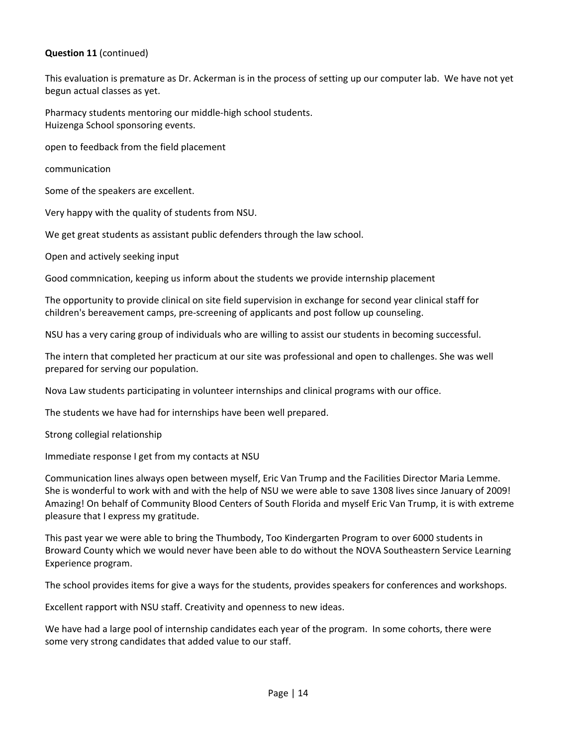#### **Question 11** (continued)

This evaluation is premature as Dr. Ackerman is in the process of setting up our computer lab. We have not yet begun actual classes as yet.

Pharmacy students mentoring our middle‐high school students. Huizenga School sponsoring events.

open to feedback from the field placement

communication

Some of the speakers are excellent.

Very happy with the quality of students from NSU.

We get great students as assistant public defenders through the law school.

Open and actively seeking input

Good commnication, keeping us inform about the students we provide internship placement

The opportunity to provide clinical on site field supervision in exchange for second year clinical staff for children's bereavement camps, pre‐screening of applicants and post follow up counseling.

NSU has a very caring group of individuals who are willing to assist our students in becoming successful.

The intern that completed her practicum at our site was professional and open to challenges. She was well prepared for serving our population.

Nova Law students participating in volunteer internships and clinical programs with our office.

The students we have had for internships have been well prepared.

Strong collegial relationship

Immediate response I get from my contacts at NSU

Communication lines always open between myself, Eric Van Trump and the Facilities Director Maria Lemme. She is wonderful to work with and with the help of NSU we were able to save 1308 lives since January of 2009! Amazing! On behalf of Community Blood Centers of South Florida and myself Eric Van Trump, it is with extreme pleasure that I express my gratitude.

This past year we were able to bring the Thumbody, Too Kindergarten Program to over 6000 students in Broward County which we would never have been able to do without the NOVA Southeastern Service Learning Experience program.

The school provides items for give a ways for the students, provides speakers for conferences and workshops.

Excellent rapport with NSU staff. Creativity and openness to new ideas.

We have had a large pool of internship candidates each year of the program. In some cohorts, there were some very strong candidates that added value to our staff.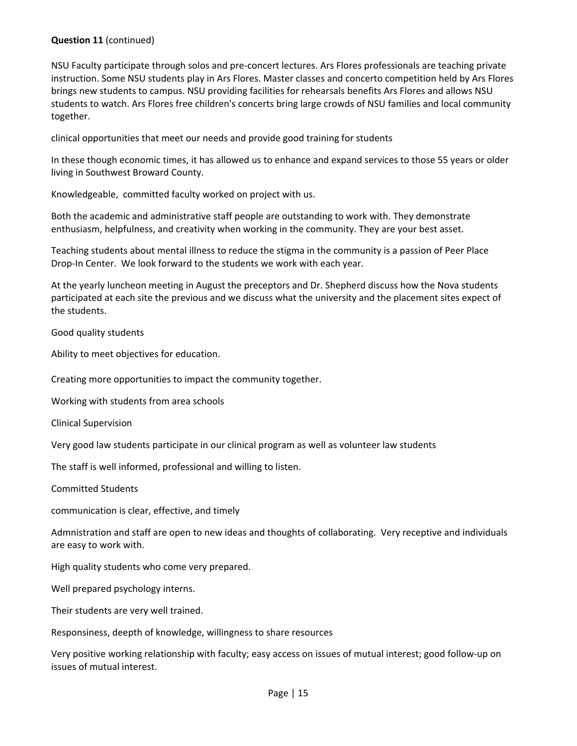#### **Question 11** (continued)

NSU Faculty participate through solos and pre‐concert lectures. Ars Flores professionals are teaching private instruction. Some NSU students play in Ars Flores. Master classes and concerto competition held by Ars Flores brings new students to campus. NSU providing facilities for rehearsals benefits Ars Flores and allows NSU students to watch. Ars Flores free children's concerts bring large crowds of NSU families and local community together.

clinical opportunities that meet our needs and provide good training for students

In these though economic times, it has allowed us to enhance and expand services to those 55 years or older living in Southwest Broward County.

Knowledgeable, committed faculty worked on project with us.

Both the academic and administrative staff people are outstanding to work with. They demonstrate enthusiasm, helpfulness, and creativity when working in the community. They are your best asset.

Teaching students about mental illness to reduce the stigma in the community is a passion of Peer Place Drop-In Center. We look forward to the students we work with each year.

At the yearly luncheon meeting in August the preceptors and Dr. Shepherd discuss how the Nova students participated at each site the previous and we discuss what the university and the placement sites expect of the students.

Good quality students

Ability to meet objectives for education.

Creating more opportunities to impact the community together.

Working with students from area schools

Clinical Supervision

Very good law students participate in our clinical program as well as volunteer law students

The staff is well informed, professional and willing to listen.

Committed Students

communication is clear, effective, and timely

Admnistration and staff are open to new ideas and thoughts of collaborating. Very receptive and individuals are easy to work with.

High quality students who come very prepared.

Well prepared psychology interns.

Their students are very well trained.

Responsiness, deepth of knowledge, willingness to share resources

Very positive working relationship with faculty; easy access on issues of mutual interest; good follow‐up on issues of mutual interest.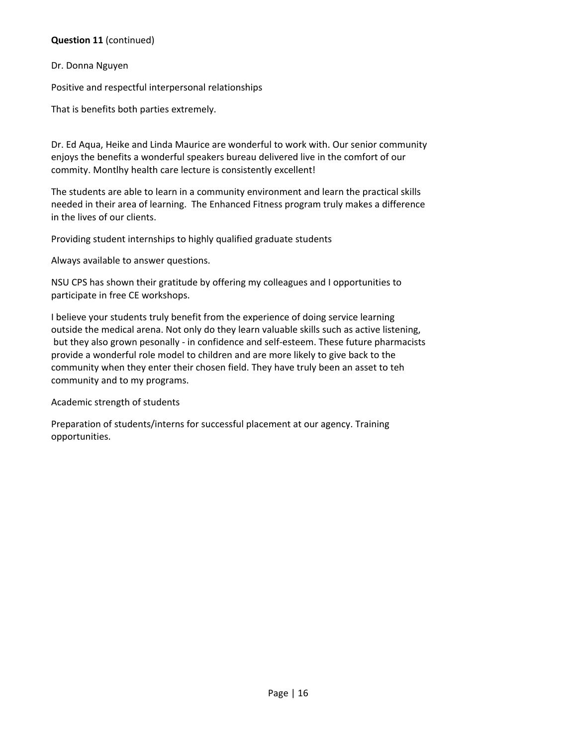#### **Question 11** (continued)

#### Dr. Donna Nguyen

Positive and respectful interpersonal relationships

That is benefits both parties extremely.

Dr. Ed Aqua, Heike and Linda Maurice are wonderful to work with. Our senior community enjoys the benefits a wonderful speakers bureau delivered live in the comfort of our commity. Montlhy health care lecture is consistently excellent!

The students are able to learn in a community environment and learn the practical skills needed in their area of learning. The Enhanced Fitness program truly makes a difference in the lives of our clients.

Providing student internships to highly qualified graduate students

Always available to answer questions.

NSU CPS has shown their gratitude by offering my colleagues and I opportunities to participate in free CE workshops.

I believe your students truly benefit from the experience of doing service learning outside the medical arena. Not only do they learn valuable skills such as active listening, but they also grown pesonally - in confidence and self-esteem. These future pharmacists provide a wonderful role model to children and are more likely to give back to the community when they enter their chosen field. They have truly been an asset to teh community and to my programs.

Academic strength of students

Preparation of students/interns for successful placement at our agency. Training opportunities.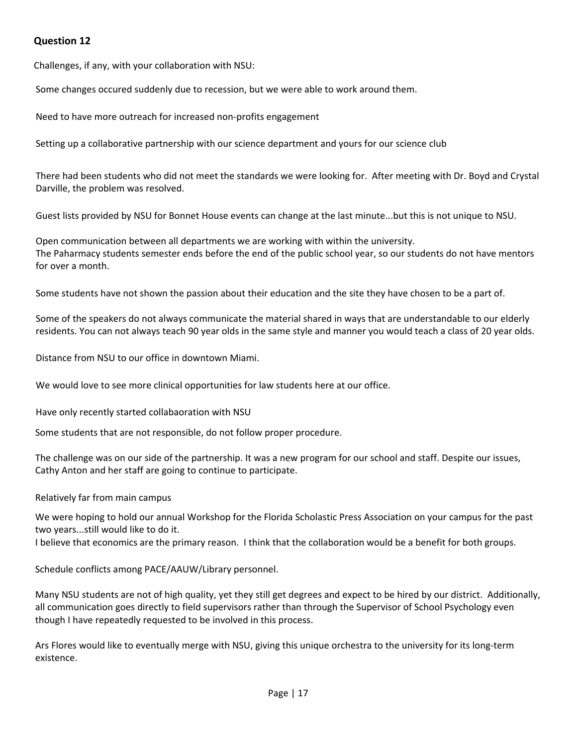Challenges, if any, with your collaboration with NSU:

Some changes occured suddenly due to recession, but we were able to work around them.

Need to have more outreach for increased non‐profits engagement

Setting up a collaborative partnership with our science department and yours for our science club

There had been students who did not meet the standards we were looking for. After meeting with Dr. Boyd and Crystal Darville, the problem was resolved.

Guest lists provided by NSU for Bonnet House events can change at the last minute...but this is not unique to NSU.

Open communication between all departments we are working with within the university. The Paharmacy students semester ends before the end of the public school year, so our students do not have mentors for over a month.

Some students have not shown the passion about their education and the site they have chosen to be a part of.

Some of the speakers do not always communicate the material shared in ways that are understandable to our elderly residents. You can not always teach 90 year olds in the same style and manner you would teach a class of 20 year olds.

Distance from NSU to our office in downtown Miami.

We would love to see more clinical opportunities for law students here at our office.

Have only recently started collabaoration with NSU

Some students that are not responsible, do not follow proper procedure.

The challenge was on our side of the partnership. It was a new program for our school and staff. Despite our issues, Cathy Anton and her staff are going to continue to participate.

Relatively far from main campus

We were hoping to hold our annual Workshop for the Florida Scholastic Press Association on your campus for the past two years...still would like to do it.

I believe that economics are the primary reason. I think that the collaboration would be a benefit for both groups.

Schedule conflicts among PACE/AAUW/Library personnel.

Many NSU students are not of high quality, yet they still get degrees and expect to be hired by our district. Additionally, all communication goes directly to field supervisors rather than through the Supervisor of School Psychology even though I have repeatedly requested to be involved in this process.

Ars Flores would like to eventually merge with NSU, giving this unique orchestra to the university for its long‐term existence.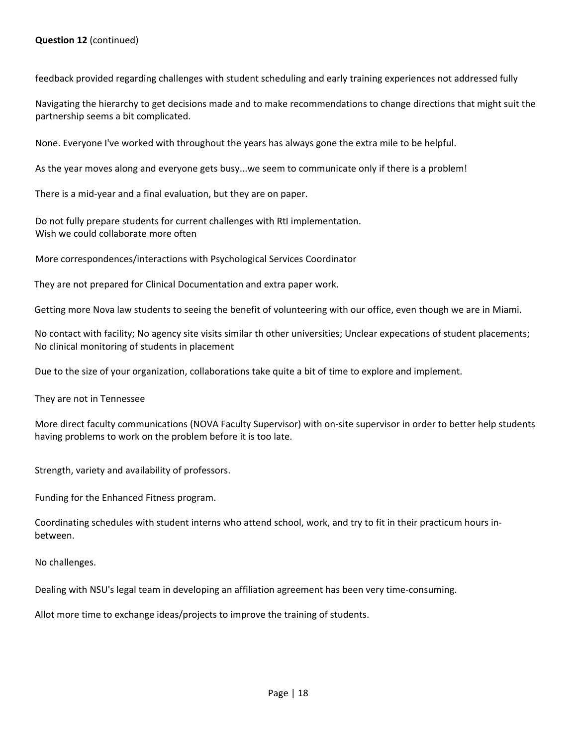#### **Question 12** (continued)

feedback provided regarding challenges with student scheduling and early training experiences not addressed fully

Navigating the hierarchy to get decisions made and to make recommendations to change directions that might suit the partnership seems a bit complicated.

None. Everyone I've worked with throughout the years has always gone the extra mile to be helpful.

As the year moves along and everyone gets busy...we seem to communicate only if there is a problem!

There is a mid‐year and a final evaluation, but they are on paper.

Do not fully prepare students for current challenges with RtI implementation. Wish we could collaborate more often

More correspondences/interactions with Psychological Services Coordinator

They are not prepared for Clinical Documentation and extra paper work.

Getting more Nova law students to seeing the benefit of volunteering with our office, even though we are in Miami.

No contact with facility; No agency site visits similar th other universities; Unclear expecations of student placements; No clinical monitoring of students in placement

Due to the size of your organization, collaborations take quite a bit of time to explore and implement.

They are not in Tennessee

More direct faculty communications (NOVA Faculty Supervisor) with on‐site supervisor in order to better help students having problems to work on the problem before it is too late.

Strength, variety and availability of professors.

Funding for the Enhanced Fitness program.

Coordinating schedules with student interns who attend school, work, and try to fit in their practicum hours in‐ between.

No challenges.

Dealing with NSU's legal team in developing an affiliation agreement has been very time‐consuming.

Allot more time to exchange ideas/projects to improve the training of students.